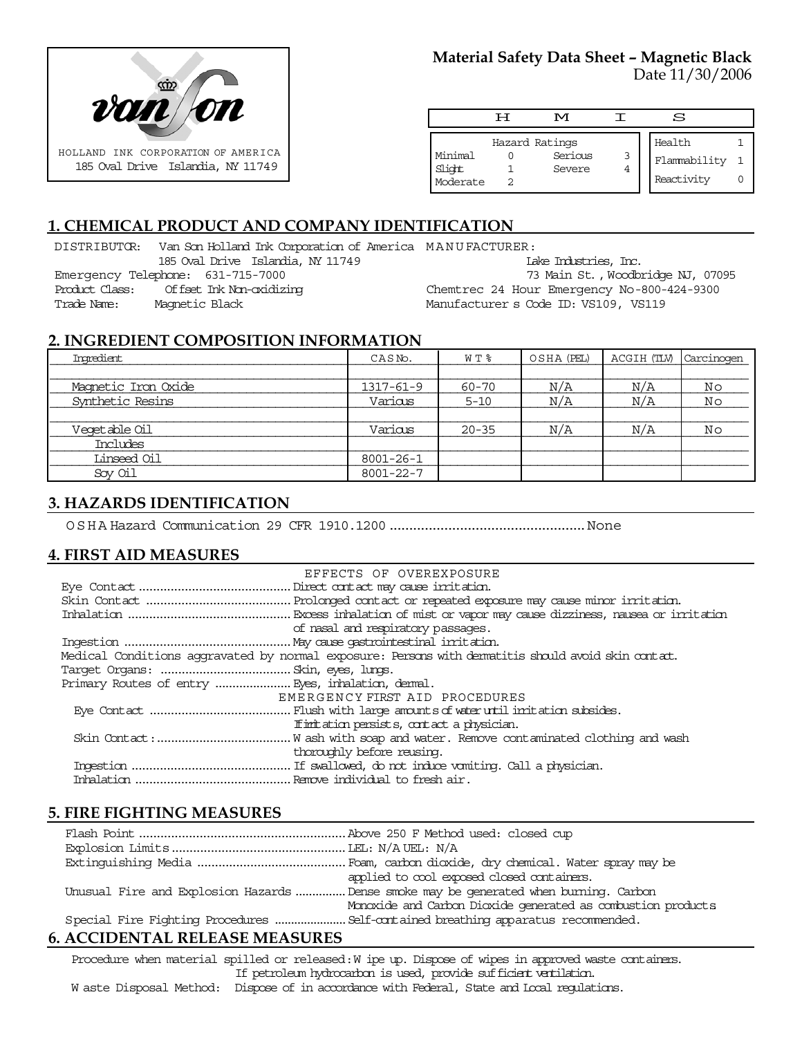

## **Material Safety Data Sheet – Magnetic Black** Date 11/30/2006

|                               | Ħ | M                                   |        | S                                    |  |
|-------------------------------|---|-------------------------------------|--------|--------------------------------------|--|
| Minimal<br>Slight<br>Moderate |   | Hazard Ratings<br>Serious<br>Severe | 3<br>4 | Health<br>Flammability<br>Reactivity |  |

# **1. CHEMICAL PRODUCT AND COMPANY IDENTIFICATION**

DISTRIBUTOR: Van Son Holland Ink Corporation of America MANUFACTURER: 185 Oval Drive Islandia, NY 11749 Emergency Telephone: 631-715-7000 Product Class: Offset Ink Non-oxidizing Trade Name: Magnetic Black Lake Industries, Inc. 73 Main St., Woodbridge NJ, 07095 Chemtrec 24 Hour Emergency No-800-424-9300 Manufacturer s Code ID: VS109, VS119

### **2. INGREDIENT COMPOSITION INFORMATION**

| Ingredient          | CASN <sub>o</sub> . | W T %     | OSHA (PEL) | ACGIH (TLV) | Carcinogen |
|---------------------|---------------------|-----------|------------|-------------|------------|
|                     |                     |           |            |             |            |
| Magnetic Iron Oxide | 1317-61-9           | 60-70     | N/A        | N/A         | Νo         |
| Synthetic Resins    | Various             | $5 - 10$  | N/A        | N/A         | Νo         |
|                     |                     |           |            |             |            |
| Veqetable Oil       | Various             | $20 - 35$ | N/A        | N/A         | Νo         |
| Includes            |                     |           |            |             |            |
| Linseed Oil         | 8001-26-1           |           |            |             |            |
| Soy Oil             | 8001-22-7           |           |            |             |            |

# **3. HAZARDS IDENTIFICATION**

OSHA Hazard Communication 29 CFR 1910.1200..................................................None

# **4. FIRST AID MEASURES**

| EFFECTS OF OVEREXPOSURE                                                                            |
|----------------------------------------------------------------------------------------------------|
|                                                                                                    |
|                                                                                                    |
|                                                                                                    |
| of nasal and respiratory passages.                                                                 |
|                                                                                                    |
| Medical Conditions aggravated by normal exposure: Persons with dematitis should avoid skin contat. |
|                                                                                                    |
|                                                                                                    |
| EMERGENCY FIRST AID PROCEDURES                                                                     |
|                                                                                                    |
| If initiation persists, contact a physician.                                                       |
|                                                                                                    |
| thoroughly before reusing.                                                                         |
|                                                                                                    |
|                                                                                                    |
|                                                                                                    |

# **5. FIRE FIGHTING MEASURES**

|                                   | applied to cool exposed closed containers.                                           |  |  |
|-----------------------------------|--------------------------------------------------------------------------------------|--|--|
|                                   | Unusual Fire and Explosion Hazards Dense smoke may be generated when burning. Carbon |  |  |
|                                   | Monoxide and Carbon Dioxide generated as combustion products                         |  |  |
|                                   |                                                                                      |  |  |
| A COIDENTE AT DEI FACE ME ACTIBEC |                                                                                      |  |  |

# **6. ACCIDENTAL RELEASE MEASURES**

Procedure when material spilled or released: W ipe up. Dispose of wipes in approved waste containers. If petroleum hydrocarbon is used, provide sufficient ventilation.

W aste Disposal Method: Dispose of in accordance with Federal, State and Local regulations.